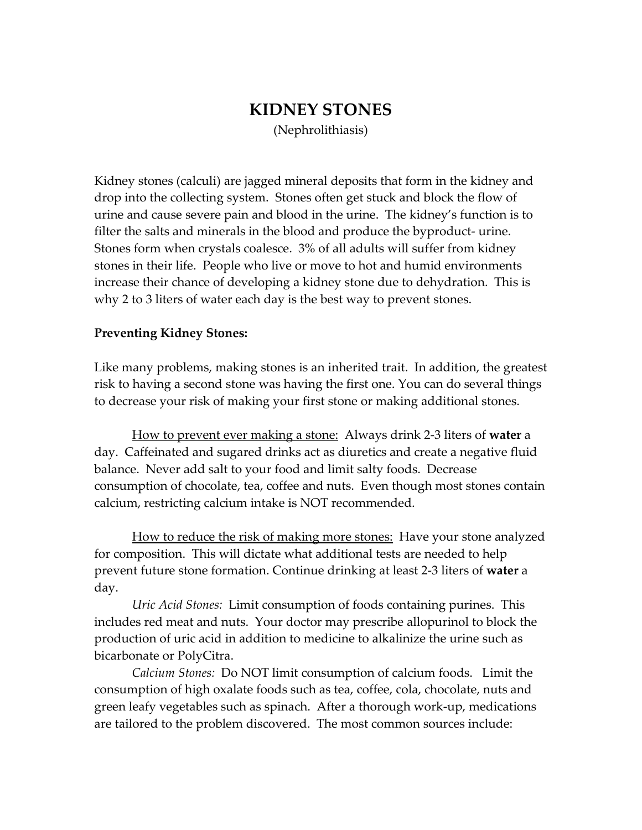# KIDNEY STONES (Nephrolithiasis)

Kidney stones (calculi) are jagged mineral deposits that form in the kidney and drop into the collecting system. Stones often get stuck and block the flow of urine and cause severe pain and blood in the urine. The kidney's function is to filter the salts and minerals in the blood and produce the byproduct- urine. Stones form when crystals coalesce. 3% of all adults will suffer from kidney stones in their life. People who live or move to hot and humid environments increase their chance of developing a kidney stone due to dehydration. This is why 2 to 3 liters of water each day is the best way to prevent stones.

#### Preventing Kidney Stones:

Like many problems, making stones is an inherited trait. In addition, the greatest risk to having a second stone was having the first one. You can do several things to decrease your risk of making your first stone or making additional stones.

 How to prevent ever making a stone: Always drink 2-3 liters of water a day. Caffeinated and sugared drinks act as diuretics and create a negative fluid balance. Never add salt to your food and limit salty foods. Decrease consumption of chocolate, tea, coffee and nuts. Even though most stones contain calcium, restricting calcium intake is NOT recommended.

 How to reduce the risk of making more stones: Have your stone analyzed for composition. This will dictate what additional tests are needed to help prevent future stone formation. Continue drinking at least 2-3 liters of water a day.

Uric Acid Stones: Limit consumption of foods containing purines. This includes red meat and nuts. Your doctor may prescribe allopurinol to block the production of uric acid in addition to medicine to alkalinize the urine such as bicarbonate or PolyCitra.

Calcium Stones: Do NOT limit consumption of calcium foods. Limit the consumption of high oxalate foods such as tea, coffee, cola, chocolate, nuts and green leafy vegetables such as spinach. After a thorough work-up, medications are tailored to the problem discovered. The most common sources include: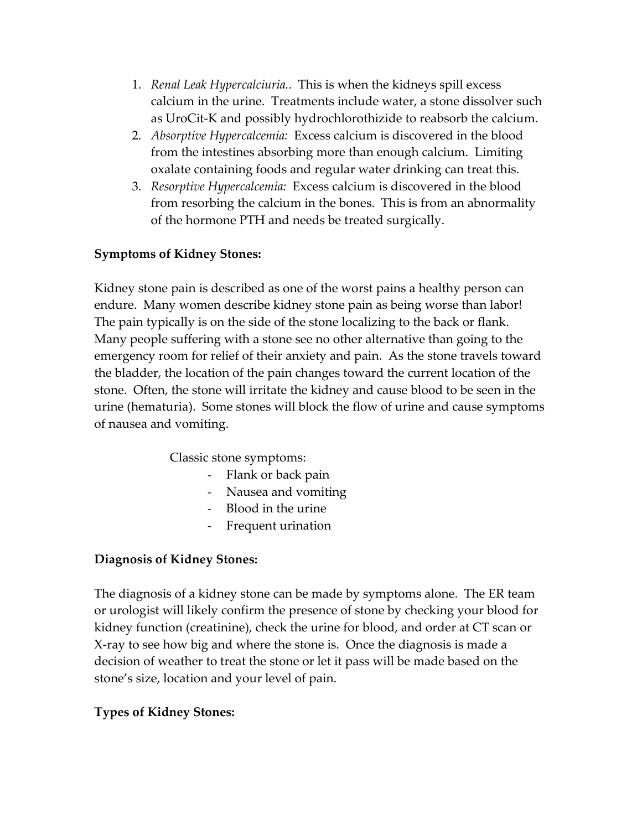- 1. Renal Leak Hypercalciuria.. This is when the kidneys spill excess calcium in the urine. Treatments include water, a stone dissolver such as UroCit-K and possibly hydrochlorothizide to reabsorb the calcium.
- 2. Absorptive Hypercalcemia: Excess calcium is discovered in the blood from the intestines absorbing more than enough calcium. Limiting oxalate containing foods and regular water drinking can treat this.
- 3. Resorptive Hypercalcemia: Excess calcium is discovered in the blood from resorbing the calcium in the bones. This is from an abnormality of the hormone PTH and needs be treated surgically.

## Symptoms of Kidney Stones:

Kidney stone pain is described as one of the worst pains a healthy person can endure. Many women describe kidney stone pain as being worse than labor! The pain typically is on the side of the stone localizing to the back or flank. Many people suffering with a stone see no other alternative than going to the emergency room for relief of their anxiety and pain. As the stone travels toward the bladder, the location of the pain changes toward the current location of the stone. Often, the stone will irritate the kidney and cause blood to be seen in the urine (hematuria). Some stones will block the flow of urine and cause symptoms of nausea and vomiting.

Classic stone symptoms:

- Flank or back pain
- Nausea and vomiting
- Blood in the urine
- Frequent urination

### Diagnosis of Kidney Stones:

The diagnosis of a kidney stone can be made by symptoms alone. The ER team or urologist will likely confirm the presence of stone by checking your blood for kidney function (creatinine), check the urine for blood, and order at CT scan or X-ray to see how big and where the stone is. Once the diagnosis is made a decision of weather to treat the stone or let it pass will be made based on the stone's size, location and your level of pain.

## Types of Kidney Stones: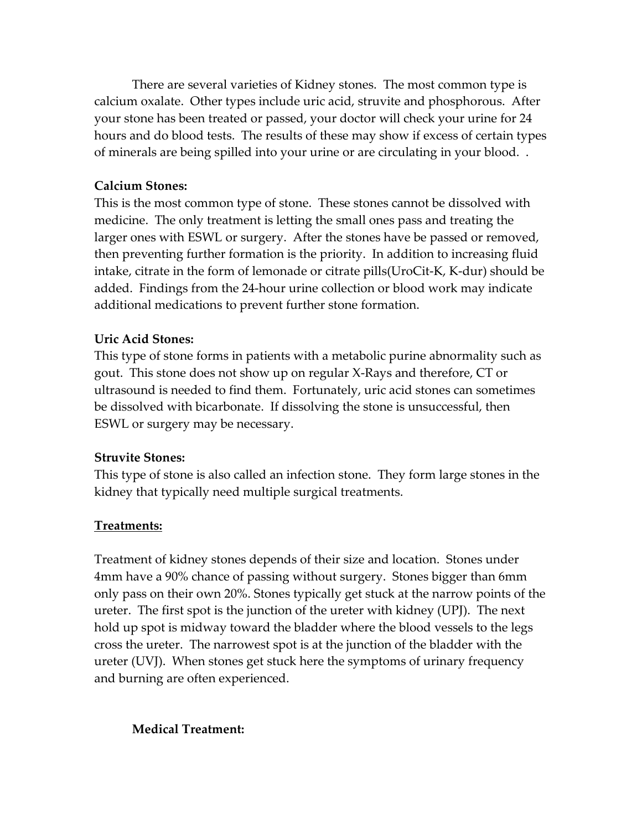There are several varieties of Kidney stones. The most common type is calcium oxalate. Other types include uric acid, struvite and phosphorous. After your stone has been treated or passed, your doctor will check your urine for 24 hours and do blood tests. The results of these may show if excess of certain types of minerals are being spilled into your urine or are circulating in your blood. .

#### Calcium Stones:

This is the most common type of stone. These stones cannot be dissolved with medicine. The only treatment is letting the small ones pass and treating the larger ones with ESWL or surgery. After the stones have be passed or removed, then preventing further formation is the priority. In addition to increasing fluid intake, citrate in the form of lemonade or citrate pills(UroCit-K, K-dur) should be added. Findings from the 24-hour urine collection or blood work may indicate additional medications to prevent further stone formation.

#### Uric Acid Stones:

This type of stone forms in patients with a metabolic purine abnormality such as gout. This stone does not show up on regular X-Rays and therefore, CT or ultrasound is needed to find them. Fortunately, uric acid stones can sometimes be dissolved with bicarbonate. If dissolving the stone is unsuccessful, then ESWL or surgery may be necessary.

#### Struvite Stones:

This type of stone is also called an infection stone. They form large stones in the kidney that typically need multiple surgical treatments.

#### Treatments:

Treatment of kidney stones depends of their size and location. Stones under 4mm have a 90% chance of passing without surgery. Stones bigger than 6mm only pass on their own 20%. Stones typically get stuck at the narrow points of the ureter. The first spot is the junction of the ureter with kidney (UPJ). The next hold up spot is midway toward the bladder where the blood vessels to the legs cross the ureter. The narrowest spot is at the junction of the bladder with the ureter (UVJ). When stones get stuck here the symptoms of urinary frequency and burning are often experienced.

### Medical Treatment: